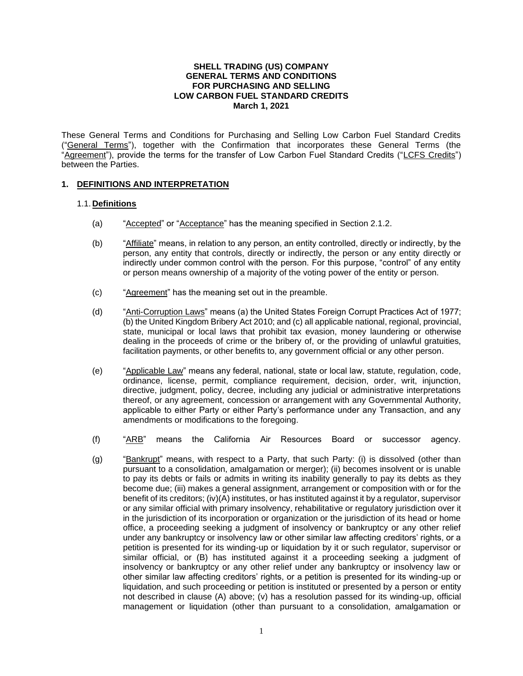#### **SHELL TRADING (US) COMPANY GENERAL TERMS AND CONDITIONS FOR PURCHASING AND SELLING LOW CARBON FUEL STANDARD CREDITS March 1, 2021**

These General Terms and Conditions for Purchasing and Selling Low Carbon Fuel Standard Credits ("General Terms"), together with the Confirmation that incorporates these General Terms (the "Agreement"), provide the terms for the transfer of Low Carbon Fuel Standard Credits ("LCFS Credits") between the Parties.

# **1. DEFINITIONS AND INTERPRETATION**

# 1.1.**Definitions**

- (a) "Accepted" or "Acceptance" has the meaning specified in Section 2.1.2.
- (b) "Affiliate" means, in relation to any person, an entity controlled, directly or indirectly, by the person, any entity that controls, directly or indirectly, the person or any entity directly or indirectly under common control with the person. For this purpose, "control" of any entity or person means ownership of a majority of the voting power of the entity or person.
- (c) "Agreement" has the meaning set out in the preamble.
- (d) "Anti-Corruption Laws" means (a) the United States Foreign Corrupt Practices Act of 1977; (b) the United Kingdom Bribery Act 2010; and (c) all applicable national, regional, provincial, state, municipal or local laws that prohibit tax evasion, money laundering or otherwise dealing in the proceeds of crime or the bribery of, or the providing of unlawful gratuities, facilitation payments, or other benefits to, any government official or any other person.
- (e) "Applicable Law" means any federal, national, state or local law, statute, regulation, code, ordinance, license, permit, compliance requirement, decision, order, writ, injunction, directive, judgment, policy, decree, including any judicial or administrative interpretations thereof, or any agreement, concession or arrangement with any Governmental Authority, applicable to either Party or either Party's performance under any Transaction, and any amendments or modifications to the foregoing.
- (f) "ARB" means the California Air Resources Board or successor agency.
- (g) "Bankrupt" means, with respect to a Party, that such Party: (i) is dissolved (other than pursuant to a consolidation, amalgamation or merger); (ii) becomes insolvent or is unable to pay its debts or fails or admits in writing its inability generally to pay its debts as they become due; (iii) makes a general assignment, arrangement or composition with or for the benefit of its creditors; (iv)(A) institutes, or has instituted against it by a regulator, supervisor or any similar official with primary insolvency, rehabilitative or regulatory jurisdiction over it in the jurisdiction of its incorporation or organization or the jurisdiction of its head or home office, a proceeding seeking a judgment of insolvency or bankruptcy or any other relief under any bankruptcy or insolvency law or other similar law affecting creditors' rights, or a petition is presented for its winding-up or liquidation by it or such regulator, supervisor or similar official, or (B) has instituted against it a proceeding seeking a judgment of insolvency or bankruptcy or any other relief under any bankruptcy or insolvency law or other similar law affecting creditors' rights, or a petition is presented for its winding-up or liquidation, and such proceeding or petition is instituted or presented by a person or entity not described in clause (A) above; (v) has a resolution passed for its winding-up, official management or liquidation (other than pursuant to a consolidation, amalgamation or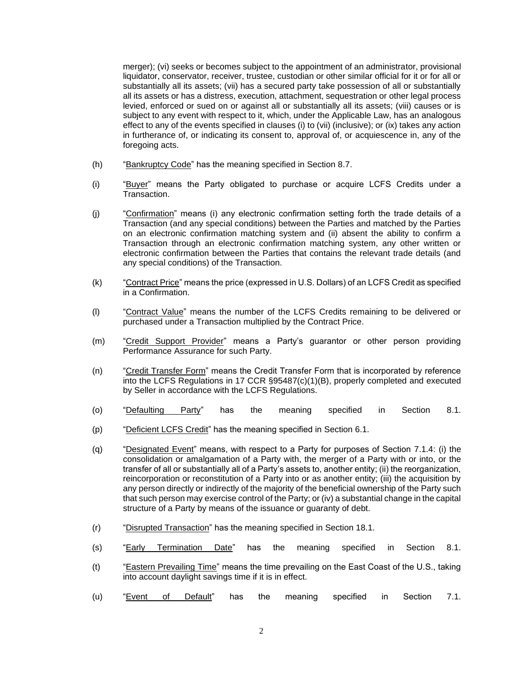merger); (vi) seeks or becomes subject to the appointment of an administrator, provisional liquidator, conservator, receiver, trustee, custodian or other similar official for it or for all or substantially all its assets; (vii) has a secured party take possession of all or substantially all its assets or has a distress, execution, attachment, sequestration or other legal process levied, enforced or sued on or against all or substantially all its assets; (viii) causes or is subject to any event with respect to it, which, under the Applicable Law, has an analogous effect to any of the events specified in clauses (i) to (vii) (inclusive); or (ix) takes any action in furtherance of, or indicating its consent to, approval of, or acquiescence in, any of the foregoing acts.

- (h) "Bankruptcy Code" has the meaning specified in Section 8.7.
- (i) "Buyer" means the Party obligated to purchase or acquire LCFS Credits under a Transaction.
- (j) "Confirmation" means (i) any electronic confirmation setting forth the trade details of a Transaction (and any special conditions) between the Parties and matched by the Parties on an electronic confirmation matching system and (ii) absent the ability to confirm a Transaction through an electronic confirmation matching system, any other written or electronic confirmation between the Parties that contains the relevant trade details (and any special conditions) of the Transaction.
- (k) "Contract Price" means the price (expressed in U.S. Dollars) of an LCFS Credit as specified in a Confirmation.
- (I) "Contract Value" means the number of the LCFS Credits remaining to be delivered or purchased under a Transaction multiplied by the Contract Price.
- (m) "Credit Support Provider" means a Party's guarantor or other person providing Performance Assurance for such Party.
- (n) "Credit Transfer Form" means the Credit Transfer Form that is incorporated by reference into the LCFS Regulations in 17 CCR §95487(c)(1)(B), properly completed and executed by Seller in accordance with the LCFS Regulations.
- (o) "<u>Defaulting Party</u>" has the meaning specified in Section 8.1.
- (p) "Deficient LCFS Credit" has the meaning specified in Section 6.1.
- (q) "Designated Event" means, with respect to a Party for purposes of Section 7.1.4: (i) the consolidation or amalgamation of a Party with, the merger of a Party with or into, or the transfer of all or substantially all of a Party's assets to, another entity; (ii) the reorganization, reincorporation or reconstitution of a Party into or as another entity; (iii) the acquisition by any person directly or indirectly of the majority of the beneficial ownership of the Party such that such person may exercise control of the Party; or (iv) a substantial change in the capital structure of a Party by means of the issuance or guaranty of debt.
- (r) "Disrupted Transaction" has the meaning specified in Section 18.1.
- (s) "Early Termination Date" has the meaning specified in Section 8.1.
- (t) "Eastern Prevailing Time" means the time prevailing on the East Coast of the U.S., taking into account daylight savings time if it is in effect.
- (u) "<u>Event of Default</u>" has the meaning specified in Section 7.1.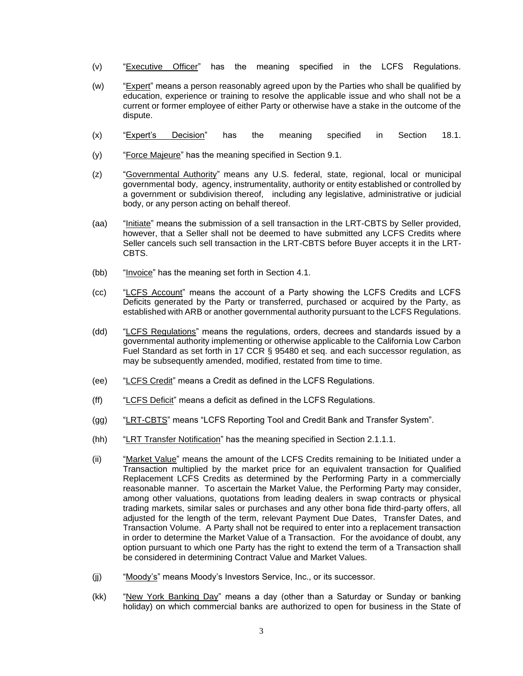- (v) "Executive Officer" has the meaning specified in the LCFS Regulations.
- (w) "Expert" means a person reasonably agreed upon by the Parties who shall be qualified by education, experience or training to resolve the applicable issue and who shall not be a current or former employee of either Party or otherwise have a stake in the outcome of the dispute.
- (x) "Expert's Decision" has the meaning specified in Section 18.1.
- (y) "Force Majeure" has the meaning specified in Section 9.1.
- (z) "Governmental Authority" means any U.S. federal, state, regional, local or municipal governmental body, agency, instrumentality, authority or entity established or controlled by a government or subdivision thereof, including any legislative, administrative or judicial body, or any person acting on behalf thereof.
- (aa) "Initiate" means the submission of a sell transaction in the LRT-CBTS by Seller provided, however, that a Seller shall not be deemed to have submitted any LCFS Credits where Seller cancels such sell transaction in the LRT-CBTS before Buyer accepts it in the LRT-CBTS.
- (bb) "Invoice" has the meaning set forth in Section 4.1.
- (cc) "LCFS Account" means the account of a Party showing the LCFS Credits and LCFS Deficits generated by the Party or transferred, purchased or acquired by the Party, as established with ARB or another governmental authority pursuant to the LCFS Regulations.
- (dd) "LCFS Regulations" means the regulations, orders, decrees and standards issued by a governmental authority implementing or otherwise applicable to the California Low Carbon Fuel Standard as set forth in 17 CCR § 95480 et seq. and each successor regulation, as may be subsequently amended, modified, restated from time to time.
- (ee) "LCFS Credit" means a Credit as defined in the LCFS Regulations.
- (ff) "LCFS Deficit" means a deficit as defined in the LCFS Regulations.
- (gg) "LRT-CBTS" means "LCFS Reporting Tool and Credit Bank and Transfer System".
- (hh) "LRT Transfer Notification" has the meaning specified in Section 2.1.1.1.
- (ii) "Market Value" means the amount of the LCFS Credits remaining to be Initiated under a Transaction multiplied by the market price for an equivalent transaction for Qualified Replacement LCFS Credits as determined by the Performing Party in a commercially reasonable manner. To ascertain the Market Value, the Performing Party may consider, among other valuations, quotations from leading dealers in swap contracts or physical trading markets, similar sales or purchases and any other bona fide third-party offers, all adjusted for the length of the term, relevant Payment Due Dates, Transfer Dates, and Transaction Volume. A Party shall not be required to enter into a replacement transaction in order to determine the Market Value of a Transaction. For the avoidance of doubt, any option pursuant to which one Party has the right to extend the term of a Transaction shall be considered in determining Contract Value and Market Values.
- (jj) "Moody's" means Moody's Investors Service, Inc., or its successor.
- (kk) "New York Banking Day" means a day (other than a Saturday or Sunday or banking holiday) on which commercial banks are authorized to open for business in the State of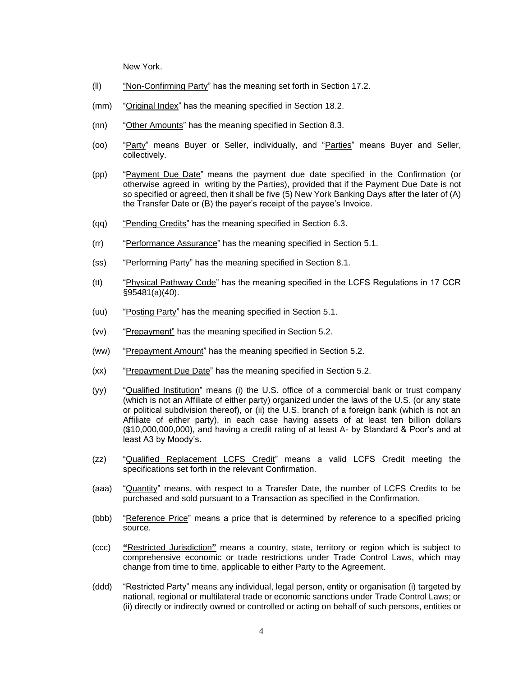New York.

- (ll) "Non-Confirming Party" has the meaning set forth in Section 17.2.
- (mm) "Original Index" has the meaning specified in Section 18.2.
- (nn) "Other Amounts" has the meaning specified in Section 8.3.
- (oo) "Party" means Buyer or Seller, individually, and "Parties" means Buyer and Seller, collectively.
- (pp) "Payment Due Date" means the payment due date specified in the Confirmation (or otherwise agreed in writing by the Parties), provided that if the Payment Due Date is not so specified or agreed, then it shall be five (5) New York Banking Days after the later of (A) the Transfer Date or (B) the payer's receipt of the payee's Invoice.
- (qq) "Pending Credits" has the meaning specified in Section 6.3.
- (rr) "Performance Assurance" has the meaning specified in Section 5.1.
- (ss) "Performing Party" has the meaning specified in Section 8.1.
- (tt) "Physical Pathway Code" has the meaning specified in the LCFS Regulations in 17 CCR §95481(a)(40).
- (uu) "Posting Party" has the meaning specified in Section 5.1.
- (vv) "Prepayment" has the meaning specified in Section 5.2.
- (ww) "Prepayment Amount" has the meaning specified in Section 5.2.
- (xx) "Prepayment Due Date" has the meaning specified in Section 5.2.
- (yy) "Qualified Institution" means (i) the U.S. office of a commercial bank or trust company (which is not an Affiliate of either party) organized under the laws of the U.S. (or any state or political subdivision thereof), or (ii) the U.S. branch of a foreign bank (which is not an Affiliate of either party), in each case having assets of at least ten billion dollars (\$10,000,000,000), and having a credit rating of at least A- by Standard & Poor's and at least A3 by Moody's.
- (zz) "Qualified Replacement LCFS Credit" means a valid LCFS Credit meeting the specifications set forth in the relevant Confirmation.
- (aaa) "Quantity" means, with respect to a Transfer Date, the number of LCFS Credits to be purchased and sold pursuant to a Transaction as specified in the Confirmation.
- (bbb) "Reference Price" means a price that is determined by reference to a specified pricing source.
- (ccc) **"**Restricted Jurisdiction**"** means a country, state, territory or region which is subject to comprehensive economic or trade restrictions under Trade Control Laws, which may change from time to time, applicable to either Party to the Agreement.
- (ddd) "Restricted Party" means any individual, legal person, entity or organisation (i) targeted by national, regional or multilateral trade or economic sanctions under Trade Control Laws; or (ii) directly or indirectly owned or controlled or acting on behalf of such persons, entities or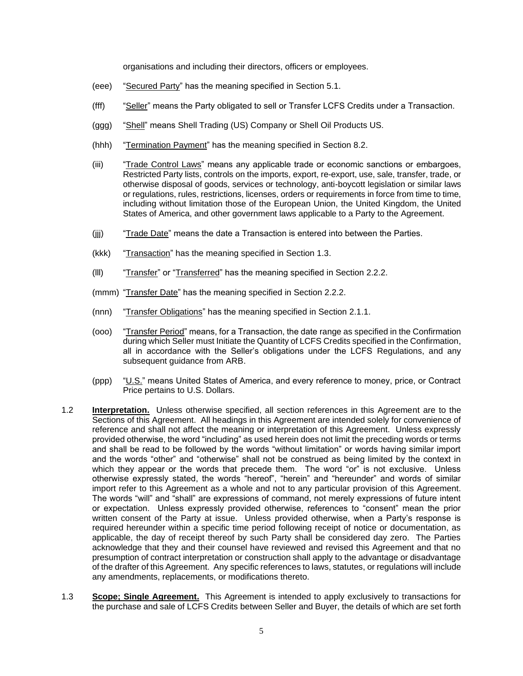organisations and including their directors, officers or employees.

- (eee) "Secured Party" has the meaning specified in Section 5.1.
- (fff) "Seller" means the Party obligated to sell or Transfer LCFS Credits under a Transaction.
- (ggg) "Shell" means Shell Trading (US) Company or Shell Oil Products US.
- (hhh) "Termination Payment" has the meaning specified in Section 8.2.
- (iii) "Trade Control Laws" means any applicable trade or economic sanctions or embargoes, Restricted Party lists, controls on the imports, export, re-export, use, sale, transfer, trade, or otherwise disposal of goods, services or technology, anti-boycott legislation or similar laws or regulations, rules, restrictions, licenses, orders or requirements in force from time to time, including without limitation those of the European Union, the United Kingdom, the United States of America, and other government laws applicable to a Party to the Agreement.
- (jij) "Trade Date" means the date a Transaction is entered into between the Parties.
- (kkk) "Transaction" has the meaning specified in Section 1.3.
- (lll) "Transfer" or "Transferred" has the meaning specified in Section 2.2.2.
- (mmm) "Transfer Date" has the meaning specified in Section 2.2.2.
- (nnn) "Transfer Obligations" has the meaning specified in Section 2.1.1.
- (ooo) "Transfer Period" means, for a Transaction, the date range as specified in the Confirmation during which Seller must Initiate the Quantity of LCFS Credits specified in the Confirmation, all in accordance with the Seller's obligations under the LCFS Regulations, and any subsequent guidance from ARB.
- (ppp) "U.S." means United States of America, and every reference to money, price, or Contract Price pertains to U.S. Dollars.
- 1.2 **Interpretation.** Unless otherwise specified, all section references in this Agreement are to the Sections of this Agreement. All headings in this Agreement are intended solely for convenience of reference and shall not affect the meaning or interpretation of this Agreement. Unless expressly provided otherwise, the word "including" as used herein does not limit the preceding words or terms and shall be read to be followed by the words "without limitation" or words having similar import and the words "other" and "otherwise" shall not be construed as being limited by the context in which they appear or the words that precede them. The word "or" is not exclusive. Unless otherwise expressly stated, the words "hereof", "herein" and "hereunder" and words of similar import refer to this Agreement as a whole and not to any particular provision of this Agreement. The words "will" and "shall" are expressions of command, not merely expressions of future intent or expectation. Unless expressly provided otherwise, references to "consent" mean the prior written consent of the Party at issue. Unless provided otherwise, when a Party's response is required hereunder within a specific time period following receipt of notice or documentation, as applicable, the day of receipt thereof by such Party shall be considered day zero. The Parties acknowledge that they and their counsel have reviewed and revised this Agreement and that no presumption of contract interpretation or construction shall apply to the advantage or disadvantage of the drafter of this Agreement. Any specific references to laws, statutes, or regulations will include any amendments, replacements, or modifications thereto.
- 1.3 **Scope; Single Agreement.** This Agreement is intended to apply exclusively to transactions for the purchase and sale of LCFS Credits between Seller and Buyer, the details of which are set forth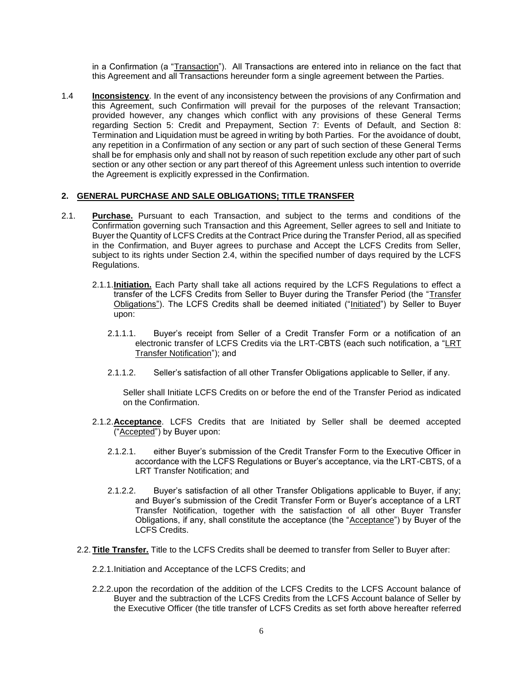in a Confirmation (a "Transaction"). All Transactions are entered into in reliance on the fact that this Agreement and all Transactions hereunder form a single agreement between the Parties.

1.4 **Inconsistency**. In the event of any inconsistency between the provisions of any Confirmation and this Agreement, such Confirmation will prevail for the purposes of the relevant Transaction; provided however, any changes which conflict with any provisions of these General Terms regarding Section 5: Credit and Prepayment, Section 7: Events of Default, and Section 8: Termination and Liquidation must be agreed in writing by both Parties. For the avoidance of doubt, any repetition in a Confirmation of any section or any part of such section of these General Terms shall be for emphasis only and shall not by reason of such repetition exclude any other part of such section or any other section or any part thereof of this Agreement unless such intention to override the Agreement is explicitly expressed in the Confirmation.

# **2. GENERAL PURCHASE AND SALE OBLIGATIONS; TITLE TRANSFER**

- 2.1. **Purchase.** Pursuant to each Transaction, and subject to the terms and conditions of the Confirmation governing such Transaction and this Agreement, Seller agrees to sell and Initiate to Buyer the Quantity of LCFS Credits at the Contract Price during the Transfer Period, all as specified in the Confirmation, and Buyer agrees to purchase and Accept the LCFS Credits from Seller, subject to its rights under Section 2.4, within the specified number of days required by the LCFS Regulations.
	- 2.1.1.**Initiation.** Each Party shall take all actions required by the LCFS Regulations to effect a transfer of the LCFS Credits from Seller to Buyer during the Transfer Period (the "Transfer Obligations"). The LCFS Credits shall be deemed initiated ("Initiated") by Seller to Buyer upon:
		- 2.1.1.1. Buyer's receipt from Seller of a Credit Transfer Form or a notification of an electronic transfer of LCFS Credits via the LRT-CBTS (each such notification, a "LRT Transfer Notification"); and
		- 2.1.1.2. Seller's satisfaction of all other Transfer Obligations applicable to Seller, if any.

Seller shall Initiate LCFS Credits on or before the end of the Transfer Period as indicated on the Confirmation.

- 2.1.2.**Acceptance**. LCFS Credits that are Initiated by Seller shall be deemed accepted ("Accepted") by Buyer upon:
	- 2.1.2.1. either Buyer's submission of the Credit Transfer Form to the Executive Officer in accordance with the LCFS Regulations or Buyer's acceptance, via the LRT-CBTS, of a LRT Transfer Notification; and
	- 2.1.2.2. Buyer's satisfaction of all other Transfer Obligations applicable to Buyer, if any; and Buyer's submission of the Credit Transfer Form or Buyer's acceptance of a LRT Transfer Notification, together with the satisfaction of all other Buyer Transfer Obligations, if any, shall constitute the acceptance (the "Acceptance") by Buyer of the LCFS Credits.
- 2.2.**Title Transfer.** Title to the LCFS Credits shall be deemed to transfer from Seller to Buyer after:
	- 2.2.1.Initiation and Acceptance of the LCFS Credits; and
	- 2.2.2.upon the recordation of the addition of the LCFS Credits to the LCFS Account balance of Buyer and the subtraction of the LCFS Credits from the LCFS Account balance of Seller by the Executive Officer (the title transfer of LCFS Credits as set forth above hereafter referred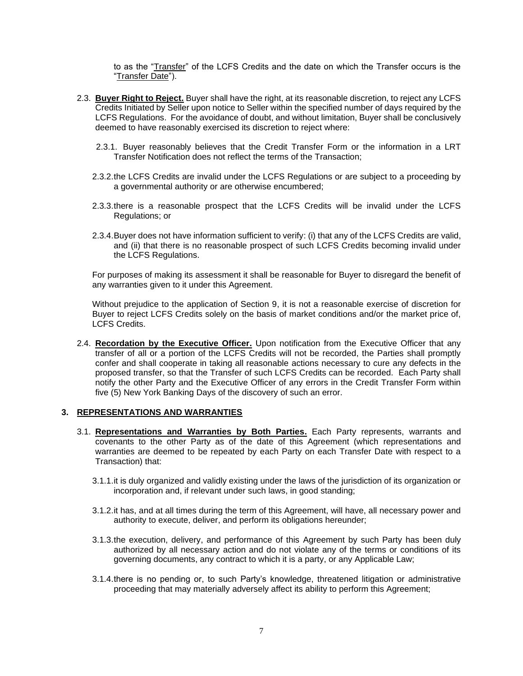to as the "Transfer" of the LCFS Credits and the date on which the Transfer occurs is the "Transfer Date").

- 2.3. **Buyer Right to Reject.** Buyer shall have the right, at its reasonable discretion, to reject any LCFS Credits Initiated by Seller upon notice to Seller within the specified number of days required by the LCFS Regulations. For the avoidance of doubt, and without limitation, Buyer shall be conclusively deemed to have reasonably exercised its discretion to reject where:
	- 2.3.1. Buyer reasonably believes that the Credit Transfer Form or the information in a LRT Transfer Notification does not reflect the terms of the Transaction;
	- 2.3.2.the LCFS Credits are invalid under the LCFS Regulations or are subject to a proceeding by a governmental authority or are otherwise encumbered;
	- 2.3.3.there is a reasonable prospect that the LCFS Credits will be invalid under the LCFS Regulations; or
	- 2.3.4.Buyer does not have information sufficient to verify: (i) that any of the LCFS Credits are valid, and (ii) that there is no reasonable prospect of such LCFS Credits becoming invalid under the LCFS Regulations.

For purposes of making its assessment it shall be reasonable for Buyer to disregard the benefit of any warranties given to it under this Agreement.

Without prejudice to the application of Section 9, it is not a reasonable exercise of discretion for Buyer to reject LCFS Credits solely on the basis of market conditions and/or the market price of, LCFS Credits.

2.4. **Recordation by the Executive Officer.** Upon notification from the Executive Officer that any transfer of all or a portion of the LCFS Credits will not be recorded, the Parties shall promptly confer and shall cooperate in taking all reasonable actions necessary to cure any defects in the proposed transfer, so that the Transfer of such LCFS Credits can be recorded. Each Party shall notify the other Party and the Executive Officer of any errors in the Credit Transfer Form within five (5) New York Banking Days of the discovery of such an error.

#### **3. REPRESENTATIONS AND WARRANTIES**

- 3.1. **Representations and Warranties by Both Parties.** Each Party represents, warrants and covenants to the other Party as of the date of this Agreement (which representations and warranties are deemed to be repeated by each Party on each Transfer Date with respect to a Transaction) that:
	- 3.1.1.it is duly organized and validly existing under the laws of the jurisdiction of its organization or incorporation and, if relevant under such laws, in good standing;
	- 3.1.2.it has, and at all times during the term of this Agreement, will have, all necessary power and authority to execute, deliver, and perform its obligations hereunder;
	- 3.1.3.the execution, delivery, and performance of this Agreement by such Party has been duly authorized by all necessary action and do not violate any of the terms or conditions of its governing documents, any contract to which it is a party, or any Applicable Law;
	- 3.1.4.there is no pending or, to such Party's knowledge, threatened litigation or administrative proceeding that may materially adversely affect its ability to perform this Agreement;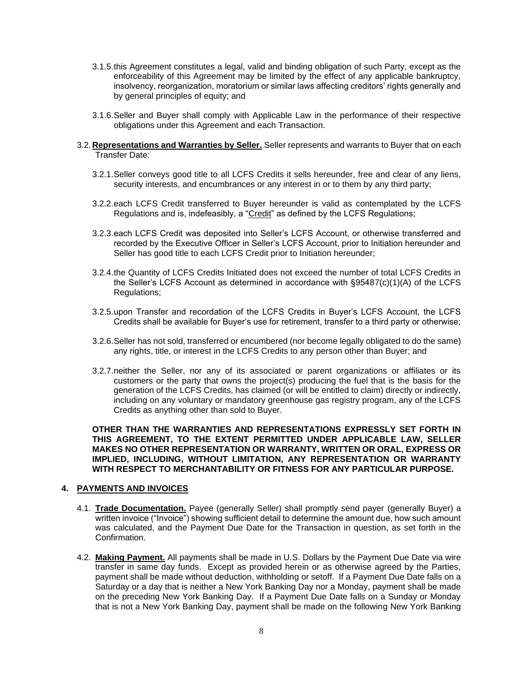- 3.1.5.this Agreement constitutes a legal, valid and binding obligation of such Party, except as the enforceability of this Agreement may be limited by the effect of any applicable bankruptcy, insolvency, reorganization, moratorium or similar laws affecting creditors' rights generally and by general principles of equity; and
- 3.1.6.Seller and Buyer shall comply with Applicable Law in the performance of their respective obligations under this Agreement and each Transaction.
- 3.2.**Representations and Warranties by Seller.** Seller represents and warrants to Buyer that on each Transfer Date:
	- 3.2.1.Seller conveys good title to all LCFS Credits it sells hereunder, free and clear of any liens, security interests, and encumbrances or any interest in or to them by any third party;
	- 3.2.2.each LCFS Credit transferred to Buyer hereunder is valid as contemplated by the LCFS Regulations and is, indefeasibly, a "Credit" as defined by the LCFS Regulations;
	- 3.2.3.each LCFS Credit was deposited into Seller's LCFS Account, or otherwise transferred and recorded by the Executive Officer in Seller's LCFS Account, prior to Initiation hereunder and Seller has good title to each LCFS Credit prior to Initiation hereunder;
	- 3.2.4.the Quantity of LCFS Credits Initiated does not exceed the number of total LCFS Credits in the Seller's LCFS Account as determined in accordance with §95487(c)(1)(A) of the LCFS Regulations;
	- 3.2.5.upon Transfer and recordation of the LCFS Credits in Buyer's LCFS Account, the LCFS Credits shall be available for Buyer's use for retirement, transfer to a third party or otherwise;
	- 3.2.6.Seller has not sold, transferred or encumbered (nor become legally obligated to do the same) any rights, title, or interest in the LCFS Credits to any person other than Buyer; and
	- 3.2.7.neither the Seller, nor any of its associated or parent organizations or affiliates or its customers or the party that owns the project(s) producing the fuel that is the basis for the generation of the LCFS Credits, has claimed (or will be entitled to claim) directly or indirectly, including on any voluntary or mandatory greenhouse gas registry program, any of the LCFS Credits as anything other than sold to Buyer.

**OTHER THAN THE WARRANTIES AND REPRESENTATIONS EXPRESSLY SET FORTH IN THIS AGREEMENT, TO THE EXTENT PERMITTED UNDER APPLICABLE LAW, SELLER MAKES NO OTHER REPRESENTATION OR WARRANTY, WRITTEN OR ORAL, EXPRESS OR IMPLIED, INCLUDING, WITHOUT LIMITATION, ANY REPRESENTATION OR WARRANTY WITH RESPECT TO MERCHANTABILITY OR FITNESS FOR ANY PARTICULAR PURPOSE.**

#### **4. PAYMENTS AND INVOICES**

- 4.1. **Trade Documentation.** Payee (generally Seller) shall promptly send payer (generally Buyer) a written invoice ("Invoice") showing sufficient detail to determine the amount due, how such amount was calculated, and the Payment Due Date for the Transaction in question, as set forth in the **Confirmation**
- 4.2. **Making Payment.** All payments shall be made in U.S. Dollars by the Payment Due Date via wire transfer in same day funds. Except as provided herein or as otherwise agreed by the Parties, payment shall be made without deduction, withholding or setoff. If a Payment Due Date falls on a Saturday or a day that is neither a New York Banking Day nor a Monday, payment shall be made on the preceding New York Banking Day. If a Payment Due Date falls on a Sunday or Monday that is not a New York Banking Day, payment shall be made on the following New York Banking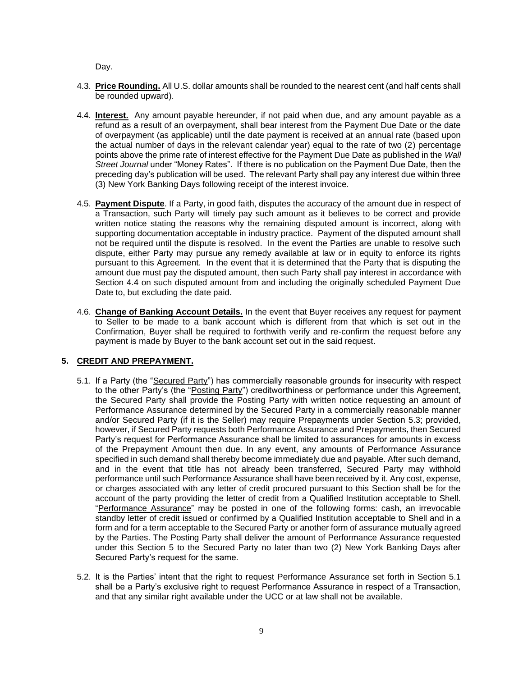Day.

- 4.3. **Price Rounding.** All U.S. dollar amounts shall be rounded to the nearest cent (and half cents shall be rounded upward).
- 4.4. **Interest.** Any amount payable hereunder, if not paid when due, and any amount payable as a refund as a result of an overpayment, shall bear interest from the Payment Due Date or the date of overpayment (as applicable) until the date payment is received at an annual rate (based upon the actual number of days in the relevant calendar year) equal to the rate of two (2) percentage points above the prime rate of interest effective for the Payment Due Date as published in the *Wall Street Journal* under "Money Rates". If there is no publication on the Payment Due Date, then the preceding day's publication will be used. The relevant Party shall pay any interest due within three (3) New York Banking Days following receipt of the interest invoice.
- 4.5. **Payment Dispute**. If a Party, in good faith, disputes the accuracy of the amount due in respect of a Transaction, such Party will timely pay such amount as it believes to be correct and provide written notice stating the reasons why the remaining disputed amount is incorrect, along with supporting documentation acceptable in industry practice. Payment of the disputed amount shall not be required until the dispute is resolved. In the event the Parties are unable to resolve such dispute, either Party may pursue any remedy available at law or in equity to enforce its rights pursuant to this Agreement. In the event that it is determined that the Party that is disputing the amount due must pay the disputed amount, then such Party shall pay interest in accordance with Section 4.4 on such disputed amount from and including the originally scheduled Payment Due Date to, but excluding the date paid.
- 4.6. **Change of Banking Account Details.** In the event that Buyer receives any request for payment to Seller to be made to a bank account which is different from that which is set out in the Confirmation, Buyer shall be required to forthwith verify and re-confirm the request before any payment is made by Buyer to the bank account set out in the said request.

# **5. CREDIT AND PREPAYMENT.**

- 5.1. If a Party (the "Secured Party") has commercially reasonable grounds for insecurity with respect to the other Party's (the "Posting Party") creditworthiness or performance under this Agreement, the Secured Party shall provide the Posting Party with written notice requesting an amount of Performance Assurance determined by the Secured Party in a commercially reasonable manner and/or Secured Party (if it is the Seller) may require Prepayments under Section 5.3; provided, however, if Secured Party requests both Performance Assurance and Prepayments, then Secured Party's request for Performance Assurance shall be limited to assurances for amounts in excess of the Prepayment Amount then due. In any event, any amounts of Performance Assurance specified in such demand shall thereby become immediately due and payable. After such demand, and in the event that title has not already been transferred, Secured Party may withhold performance until such Performance Assurance shall have been received by it. Any cost, expense, or charges associated with any letter of credit procured pursuant to this Section shall be for the account of the party providing the letter of credit from a Qualified Institution acceptable to Shell. "Performance Assurance" may be posted in one of the following forms: cash, an irrevocable standby letter of credit issued or confirmed by a Qualified Institution acceptable to Shell and in a form and for a term acceptable to the Secured Party or another form of assurance mutually agreed by the Parties. The Posting Party shall deliver the amount of Performance Assurance requested under this Section 5 to the Secured Party no later than two (2) New York Banking Days after Secured Party's request for the same.
- 5.2. It is the Parties' intent that the right to request Performance Assurance set forth in Section 5.1 shall be a Party's exclusive right to request Performance Assurance in respect of a Transaction, and that any similar right available under the UCC or at law shall not be available.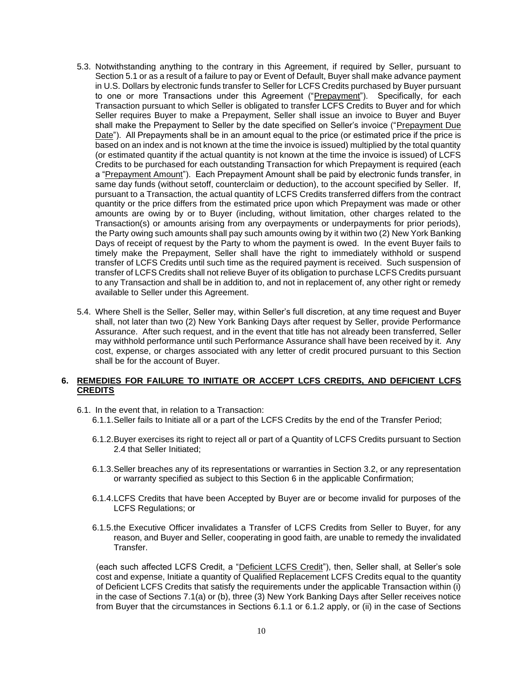- 5.3. Notwithstanding anything to the contrary in this Agreement, if required by Seller, pursuant to Section 5.1 or as a result of a failure to pay or Event of Default, Buyer shall make advance payment in U.S. Dollars by electronic funds transfer to Seller for LCFS Credits purchased by Buyer pursuant to one or more Transactions under this Agreement ("Prepayment"). Specifically, for each Transaction pursuant to which Seller is obligated to transfer LCFS Credits to Buyer and for which Seller requires Buyer to make a Prepayment, Seller shall issue an invoice to Buyer and Buyer shall make the Prepayment to Seller by the date specified on Seller's invoice ("Prepayment Due Date"). All Prepayments shall be in an amount equal to the price (or estimated price if the price is based on an index and is not known at the time the invoice is issued) multiplied by the total quantity (or estimated quantity if the actual quantity is not known at the time the invoice is issued) of LCFS Credits to be purchased for each outstanding Transaction for which Prepayment is required (each a "Prepayment Amount"). Each Prepayment Amount shall be paid by electronic funds transfer, in same day funds (without setoff, counterclaim or deduction), to the account specified by Seller. If, pursuant to a Transaction, the actual quantity of LCFS Credits transferred differs from the contract quantity or the price differs from the estimated price upon which Prepayment was made or other amounts are owing by or to Buyer (including, without limitation, other charges related to the Transaction(s) or amounts arising from any overpayments or underpayments for prior periods), the Party owing such amounts shall pay such amounts owing by it within two (2) New York Banking Days of receipt of request by the Party to whom the payment is owed. In the event Buyer fails to timely make the Prepayment, Seller shall have the right to immediately withhold or suspend transfer of LCFS Credits until such time as the required payment is received. Such suspension of transfer of LCFS Credits shall not relieve Buyer of its obligation to purchase LCFS Credits pursuant to any Transaction and shall be in addition to, and not in replacement of, any other right or remedy available to Seller under this Agreement.
- 5.4. Where Shell is the Seller, Seller may, within Seller's full discretion, at any time request and Buyer shall, not later than two (2) New York Banking Days after request by Seller, provide Performance Assurance. After such request, and in the event that title has not already been transferred, Seller may withhold performance until such Performance Assurance shall have been received by it. Any cost, expense, or charges associated with any letter of credit procured pursuant to this Section shall be for the account of Buyer.

# **6. REMEDIES FOR FAILURE TO INITIATE OR ACCEPT LCFS CREDITS, AND DEFICIENT LCFS CREDITS**

- 6.1. In the event that, in relation to a Transaction:
	- 6.1.1.Seller fails to Initiate all or a part of the LCFS Credits by the end of the Transfer Period;
	- 6.1.2.Buyer exercises its right to reject all or part of a Quantity of LCFS Credits pursuant to Section 2.4 that Seller Initiated;
	- 6.1.3.Seller breaches any of its representations or warranties in Section 3.2, or any representation or warranty specified as subject to this Section 6 in the applicable Confirmation;
	- 6.1.4.LCFS Credits that have been Accepted by Buyer are or become invalid for purposes of the LCFS Regulations; or
	- 6.1.5.the Executive Officer invalidates a Transfer of LCFS Credits from Seller to Buyer, for any reason, and Buyer and Seller, cooperating in good faith, are unable to remedy the invalidated Transfer.

(each such affected LCFS Credit, a "Deficient LCFS Credit"), then, Seller shall, at Seller's sole cost and expense, Initiate a quantity of Qualified Replacement LCFS Credits equal to the quantity of Deficient LCFS Credits that satisfy the requirements under the applicable Transaction within (i) in the case of Sections 7.1(a) or (b), three (3) New York Banking Days after Seller receives notice from Buyer that the circumstances in Sections 6.1.1 or 6.1.2 apply, or (ii) in the case of Sections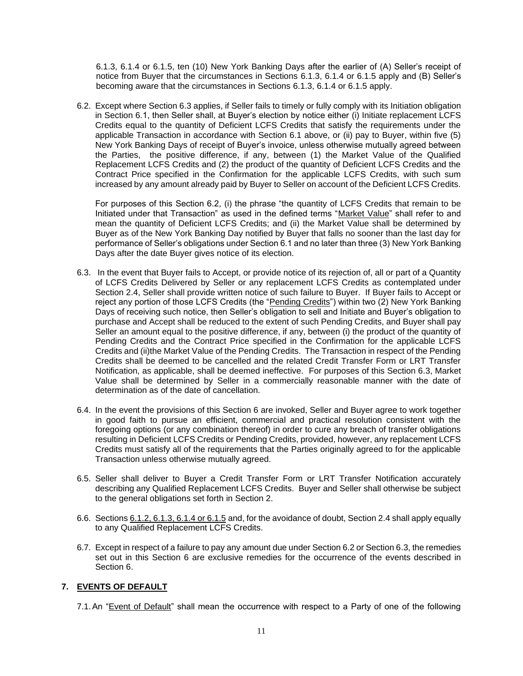6.1.3, 6.1.4 or 6.1.5, ten (10) New York Banking Days after the earlier of (A) Seller's receipt of notice from Buyer that the circumstances in Sections 6.1.3, 6.1.4 or 6.1.5 apply and (B) Seller's becoming aware that the circumstances in Sections 6.1.3, 6.1.4 or 6.1.5 apply.

6.2. Except where Section 6.3 applies, if Seller fails to timely or fully comply with its Initiation obligation in Section 6.1, then Seller shall, at Buyer's election by notice either (i) Initiate replacement LCFS Credits equal to the quantity of Deficient LCFS Credits that satisfy the requirements under the applicable Transaction in accordance with Section 6.1 above, or (ii) pay to Buyer, within five (5) New York Banking Days of receipt of Buyer's invoice, unless otherwise mutually agreed between the Parties, the positive difference, if any, between (1) the Market Value of the Qualified Replacement LCFS Credits and (2) the product of the quantity of Deficient LCFS Credits and the Contract Price specified in the Confirmation for the applicable LCFS Credits, with such sum increased by any amount already paid by Buyer to Seller on account of the Deficient LCFS Credits.

For purposes of this Section 6.2, (i) the phrase "the quantity of LCFS Credits that remain to be Initiated under that Transaction" as used in the defined terms "Market Value" shall refer to and mean the quantity of Deficient LCFS Credits; and (ii) the Market Value shall be determined by Buyer as of the New York Banking Day notified by Buyer that falls no sooner than the last day for performance of Seller's obligations under Section 6.1 and no later than three (3) New York Banking Days after the date Buyer gives notice of its election.

- 6.3. In the event that Buyer fails to Accept, or provide notice of its rejection of, all or part of a Quantity of LCFS Credits Delivered by Seller or any replacement LCFS Credits as contemplated under Section 2.4, Seller shall provide written notice of such failure to Buyer. If Buyer fails to Accept or reject any portion of those LCFS Credits (the "Pending Credits") within two (2) New York Banking Days of receiving such notice, then Seller's obligation to sell and Initiate and Buyer's obligation to purchase and Accept shall be reduced to the extent of such Pending Credits, and Buyer shall pay Seller an amount equal to the positive difference, if any, between (i) the product of the quantity of Pending Credits and the Contract Price specified in the Confirmation for the applicable LCFS Credits and (ii)the Market Value of the Pending Credits. The Transaction in respect of the Pending Credits shall be deemed to be cancelled and the related Credit Transfer Form or LRT Transfer Notification, as applicable, shall be deemed ineffective. For purposes of this Section 6.3, Market Value shall be determined by Seller in a commercially reasonable manner with the date of determination as of the date of cancellation.
- 6.4. In the event the provisions of this Section 6 are invoked, Seller and Buyer agree to work together in good faith to pursue an efficient, commercial and practical resolution consistent with the foregoing options (or any combination thereof) in order to cure any breach of transfer obligations resulting in Deficient LCFS Credits or Pending Credits, provided, however, any replacement LCFS Credits must satisfy all of the requirements that the Parties originally agreed to for the applicable Transaction unless otherwise mutually agreed.
- 6.5. Seller shall deliver to Buyer a Credit Transfer Form or LRT Transfer Notification accurately describing any Qualified Replacement LCFS Credits. Buyer and Seller shall otherwise be subject to the general obligations set forth in Section 2.
- 6.6. Sections 6.1.2, 6.1.3, 6.1.4 or 6.1.5 and, for the avoidance of doubt, Section 2.4 shall apply equally to any Qualified Replacement LCFS Credits.
- 6.7. Except in respect of a failure to pay any amount due under Section 6.2 or Section 6.3, the remedies set out in this Section 6 are exclusive remedies for the occurrence of the events described in Section 6.

# **7. EVENTS OF DEFAULT**

7.1.An "Event of Default" shall mean the occurrence with respect to a Party of one of the following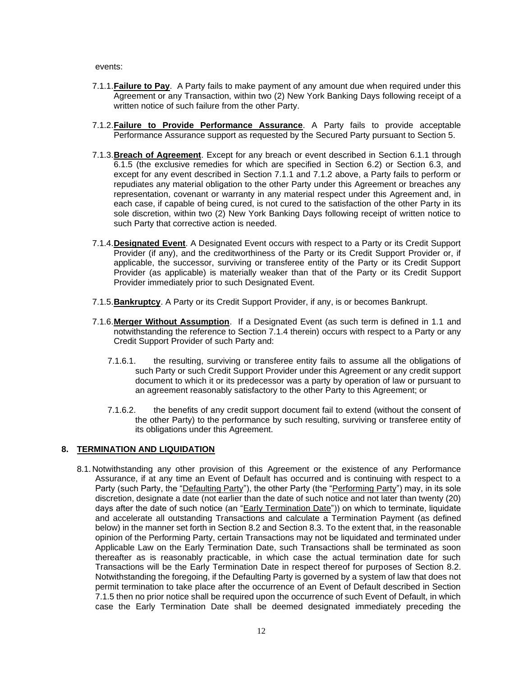events:

- 7.1.1.**Failure to Pay**. A Party fails to make payment of any amount due when required under this Agreement or any Transaction, within two (2) New York Banking Days following receipt of a written notice of such failure from the other Party.
- 7.1.2.**Failure to Provide Performance Assurance**. A Party fails to provide acceptable Performance Assurance support as requested by the Secured Party pursuant to Section 5.
- 7.1.3.**Breach of Agreement**. Except for any breach or event described in Section 6.1.1 through 6.1.5 (the exclusive remedies for which are specified in Section 6.2) or Section 6.3, and except for any event described in Section 7.1.1 and 7.1.2 above, a Party fails to perform or repudiates any material obligation to the other Party under this Agreement or breaches any representation, covenant or warranty in any material respect under this Agreement and, in each case, if capable of being cured, is not cured to the satisfaction of the other Party in its sole discretion, within two (2) New York Banking Days following receipt of written notice to such Party that corrective action is needed.
- 7.1.4.**Designated Event**. A Designated Event occurs with respect to a Party or its Credit Support Provider (if any), and the creditworthiness of the Party or its Credit Support Provider or, if applicable, the successor, surviving or transferee entity of the Party or its Credit Support Provider (as applicable) is materially weaker than that of the Party or its Credit Support Provider immediately prior to such Designated Event.
- 7.1.5.**Bankruptcy**. A Party or its Credit Support Provider, if any, is or becomes Bankrupt.
- 7.1.6.**Merger Without Assumption**. If a Designated Event (as such term is defined in 1.1 and notwithstanding the reference to Section 7.1.4 therein) occurs with respect to a Party or any Credit Support Provider of such Party and:
	- 7.1.6.1. the resulting, surviving or transferee entity fails to assume all the obligations of such Party or such Credit Support Provider under this Agreement or any credit support document to which it or its predecessor was a party by operation of law or pursuant to an agreement reasonably satisfactory to the other Party to this Agreement; or
	- 7.1.6.2. the benefits of any credit support document fail to extend (without the consent of the other Party) to the performance by such resulting, surviving or transferee entity of its obligations under this Agreement.

# **8. TERMINATION AND LIQUIDATION**

8.1.Notwithstanding any other provision of this Agreement or the existence of any Performance Assurance, if at any time an Event of Default has occurred and is continuing with respect to a Party (such Party, the "Defaulting Party"), the other Party (the "Performing Party") may, in its sole discretion, designate a date (not earlier than the date of such notice and not later than twenty (20) days after the date of such notice (an "Early Termination Date")) on which to terminate, liquidate and accelerate all outstanding Transactions and calculate a Termination Payment (as defined below) in the manner set forth in Section 8.2 and Section 8.3. To the extent that, in the reasonable opinion of the Performing Party, certain Transactions may not be liquidated and terminated under Applicable Law on the Early Termination Date, such Transactions shall be terminated as soon thereafter as is reasonably practicable, in which case the actual termination date for such Transactions will be the Early Termination Date in respect thereof for purposes of Section 8.2. Notwithstanding the foregoing, if the Defaulting Party is governed by a system of law that does not permit termination to take place after the occurrence of an Event of Default described in Section 7.1.5 then no prior notice shall be required upon the occurrence of such Event of Default, in which case the Early Termination Date shall be deemed designated immediately preceding the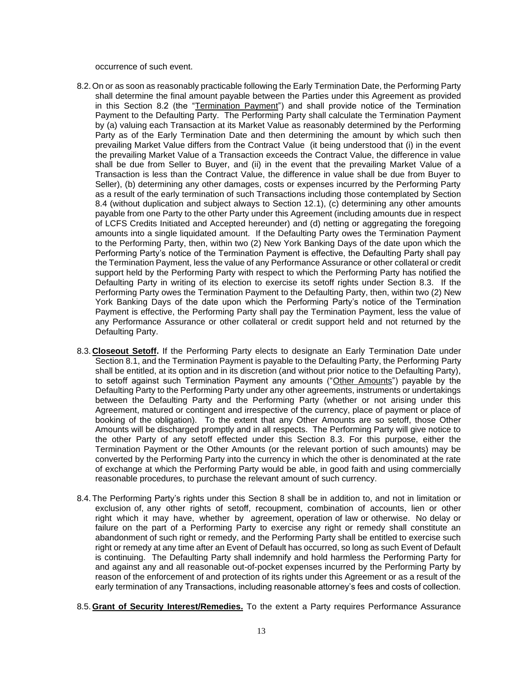occurrence of such event.

- 8.2.On or as soon as reasonably practicable following the Early Termination Date, the Performing Party shall determine the final amount payable between the Parties under this Agreement as provided in this Section 8.2 (the "Termination Payment") and shall provide notice of the Termination Payment to the Defaulting Party. The Performing Party shall calculate the Termination Payment by (a) valuing each Transaction at its Market Value as reasonably determined by the Performing Party as of the Early Termination Date and then determining the amount by which such then prevailing Market Value differs from the Contract Value (it being understood that (i) in the event the prevailing Market Value of a Transaction exceeds the Contract Value, the difference in value shall be due from Seller to Buyer, and (ii) in the event that the prevailing Market Value of a Transaction is less than the Contract Value, the difference in value shall be due from Buyer to Seller), (b) determining any other damages, costs or expenses incurred by the Performing Party as a result of the early termination of such Transactions including those contemplated by Section 8.4 (without duplication and subject always to Section 12.1), (c) determining any other amounts payable from one Party to the other Party under this Agreement (including amounts due in respect of LCFS Credits Initiated and Accepted hereunder) and (d) netting or aggregating the foregoing amounts into a single liquidated amount. If the Defaulting Party owes the Termination Payment to the Performing Party, then, within two (2) New York Banking Days of the date upon which the Performing Party's notice of the Termination Payment is effective, the Defaulting Party shall pay the Termination Payment, less the value of any Performance Assurance or other collateral or credit support held by the Performing Party with respect to which the Performing Party has notified the Defaulting Party in writing of its election to exercise its setoff rights under Section 8.3. If the Performing Party owes the Termination Payment to the Defaulting Party, then, within two (2) New York Banking Days of the date upon which the Performing Party's notice of the Termination Payment is effective, the Performing Party shall pay the Termination Payment, less the value of any Performance Assurance or other collateral or credit support held and not returned by the Defaulting Party.
- 8.3.**Closeout Setoff.** If the Performing Party elects to designate an Early Termination Date under Section 8.1, and the Termination Payment is payable to the Defaulting Party, the Performing Party shall be entitled, at its option and in its discretion (and without prior notice to the Defaulting Party), to setoff against such Termination Payment any amounts ("Other Amounts") payable by the Defaulting Party to the Performing Party under any other agreements, instruments or undertakings between the Defaulting Party and the Performing Party (whether or not arising under this Agreement, matured or contingent and irrespective of the currency, place of payment or place of booking of the obligation). To the extent that any Other Amounts are so setoff, those Other Amounts will be discharged promptly and in all respects. The Performing Party will give notice to the other Party of any setoff effected under this Section 8.3. For this purpose, either the Termination Payment or the Other Amounts (or the relevant portion of such amounts) may be converted by the Performing Party into the currency in which the other is denominated at the rate of exchange at which the Performing Party would be able, in good faith and using commercially reasonable procedures, to purchase the relevant amount of such currency.
- 8.4.The Performing Party's rights under this Section 8 shall be in addition to, and not in limitation or exclusion of, any other rights of setoff, recoupment, combination of accounts, lien or other right which it may have, whether by agreement, operation of law or otherwise. No delay or failure on the part of a Performing Party to exercise any right or remedy shall constitute an abandonment of such right or remedy, and the Performing Party shall be entitled to exercise such right or remedy at any time after an Event of Default has occurred, so long as such Event of Default is continuing. The Defaulting Party shall indemnify and hold harmless the Performing Party for and against any and all reasonable out-of-pocket expenses incurred by the Performing Party by reason of the enforcement of and protection of its rights under this Agreement or as a result of the early termination of any Transactions, including reasonable attorney's fees and costs of collection.
- 8.5.**Grant of Security Interest/Remedies.** To the extent a Party requires Performance Assurance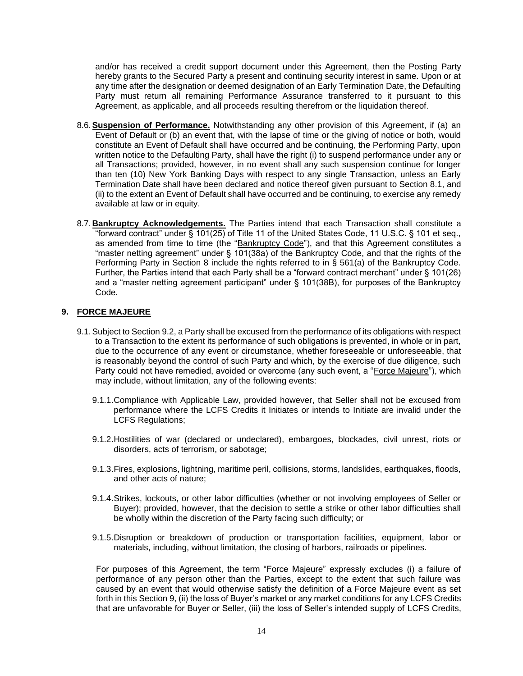and/or has received a credit support document under this Agreement, then the Posting Party hereby grants to the Secured Party a present and continuing security interest in same. Upon or at any time after the designation or deemed designation of an Early Termination Date, the Defaulting Party must return all remaining Performance Assurance transferred to it pursuant to this Agreement, as applicable, and all proceeds resulting therefrom or the liquidation thereof.

- 8.6.**Suspension of Performance.** Notwithstanding any other provision of this Agreement, if (a) an Event of Default or (b) an event that, with the lapse of time or the giving of notice or both, would constitute an Event of Default shall have occurred and be continuing, the Performing Party, upon written notice to the Defaulting Party, shall have the right (i) to suspend performance under any or all Transactions; provided, however, in no event shall any such suspension continue for longer than ten (10) New York Banking Days with respect to any single Transaction, unless an Early Termination Date shall have been declared and notice thereof given pursuant to Section 8.1, and (ii) to the extent an Event of Default shall have occurred and be continuing, to exercise any remedy available at law or in equity.
- 8.7.**Bankruptcy Acknowledgements.** The Parties intend that each Transaction shall constitute a "forward contract" under § 101(25) of Title 11 of the United States Code, 11 U.S.C. § 101 et seq., as amended from time to time (the "Bankruptcy Code"), and that this Agreement constitutes a "master netting agreement" under § 101(38a) of the Bankruptcy Code, and that the rights of the Performing Party in Section 8 include the rights referred to in § 561(a) of the Bankruptcy Code. Further, the Parties intend that each Party shall be a "forward contract merchant" under § 101(26) and a "master netting agreement participant" under § 101(38B), for purposes of the Bankruptcy Code.

# **9. FORCE MAJEURE**

- 9.1.Subject to Section 9.2, a Party shall be excused from the performance of its obligations with respect to a Transaction to the extent its performance of such obligations is prevented, in whole or in part, due to the occurrence of any event or circumstance, whether foreseeable or unforeseeable, that is reasonably beyond the control of such Party and which, by the exercise of due diligence, such Party could not have remedied, avoided or overcome (any such event, a "Force Majeure"), which may include, without limitation, any of the following events:
	- 9.1.1.Compliance with Applicable Law, provided however, that Seller shall not be excused from performance where the LCFS Credits it Initiates or intends to Initiate are invalid under the LCFS Regulations;
	- 9.1.2.Hostilities of war (declared or undeclared), embargoes, blockades, civil unrest, riots or disorders, acts of terrorism, or sabotage;
	- 9.1.3.Fires, explosions, lightning, maritime peril, collisions, storms, landslides, earthquakes, floods, and other acts of nature;
	- 9.1.4.Strikes, lockouts, or other labor difficulties (whether or not involving employees of Seller or Buyer); provided, however, that the decision to settle a strike or other labor difficulties shall be wholly within the discretion of the Party facing such difficulty; or
	- 9.1.5.Disruption or breakdown of production or transportation facilities, equipment, labor or materials, including, without limitation, the closing of harbors, railroads or pipelines.

For purposes of this Agreement, the term "Force Majeure" expressly excludes (i) a failure of performance of any person other than the Parties, except to the extent that such failure was caused by an event that would otherwise satisfy the definition of a Force Majeure event as set forth in this Section 9, (ii) the loss of Buyer's market or any market conditions for any LCFS Credits that are unfavorable for Buyer or Seller, (iii) the loss of Seller's intended supply of LCFS Credits,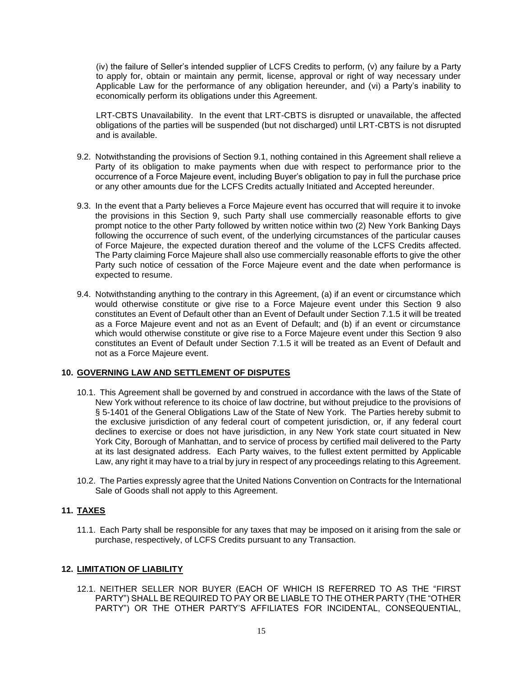(iv) the failure of Seller's intended supplier of LCFS Credits to perform, (v) any failure by a Party to apply for, obtain or maintain any permit, license, approval or right of way necessary under Applicable Law for the performance of any obligation hereunder, and (vi) a Party's inability to economically perform its obligations under this Agreement.

LRT-CBTS Unavailability. In the event that LRT-CBTS is disrupted or unavailable, the affected obligations of the parties will be suspended (but not discharged) until LRT-CBTS is not disrupted and is available.

- 9.2. Notwithstanding the provisions of Section 9.1, nothing contained in this Agreement shall relieve a Party of its obligation to make payments when due with respect to performance prior to the occurrence of a Force Majeure event, including Buyer's obligation to pay in full the purchase price or any other amounts due for the LCFS Credits actually Initiated and Accepted hereunder.
- 9.3. In the event that a Party believes a Force Majeure event has occurred that will require it to invoke the provisions in this Section 9, such Party shall use commercially reasonable efforts to give prompt notice to the other Party followed by written notice within two (2) New York Banking Days following the occurrence of such event, of the underlying circumstances of the particular causes of Force Majeure, the expected duration thereof and the volume of the LCFS Credits affected. The Party claiming Force Majeure shall also use commercially reasonable efforts to give the other Party such notice of cessation of the Force Majeure event and the date when performance is expected to resume.
- 9.4. Notwithstanding anything to the contrary in this Agreement, (a) if an event or circumstance which would otherwise constitute or give rise to a Force Majeure event under this Section 9 also constitutes an Event of Default other than an Event of Default under Section 7.1.5 it will be treated as a Force Majeure event and not as an Event of Default; and (b) if an event or circumstance which would otherwise constitute or give rise to a Force Majeure event under this Section 9 also constitutes an Event of Default under Section 7.1.5 it will be treated as an Event of Default and not as a Force Majeure event.

#### **10. GOVERNING LAW AND SETTLEMENT OF DISPUTES**

- 10.1. This Agreement shall be governed by and construed in accordance with the laws of the State of New York without reference to its choice of law doctrine, but without prejudice to the provisions of § 5-1401 of the General Obligations Law of the State of New York. The Parties hereby submit to the exclusive jurisdiction of any federal court of competent jurisdiction, or, if any federal court declines to exercise or does not have jurisdiction, in any New York state court situated in New York City, Borough of Manhattan, and to service of process by certified mail delivered to the Party at its last designated address. Each Party waives, to the fullest extent permitted by Applicable Law, any right it may have to a trial by jury in respect of any proceedings relating to this Agreement.
- 10.2. The Parties expressly agree that the United Nations Convention on Contracts for the International Sale of Goods shall not apply to this Agreement.

# **11. TAXES**

11.1. Each Party shall be responsible for any taxes that may be imposed on it arising from the sale or purchase, respectively, of LCFS Credits pursuant to any Transaction.

#### **12. LIMITATION OF LIABILITY**

12.1. NEITHER SELLER NOR BUYER (EACH OF WHICH IS REFERRED TO AS THE "FIRST PARTY") SHALL BE REQUIRED TO PAY OR BE LIABLE TO THE OTHER PARTY (THE "OTHER PARTY") OR THE OTHER PARTY'S AFFILIATES FOR INCIDENTAL, CONSEQUENTIAL,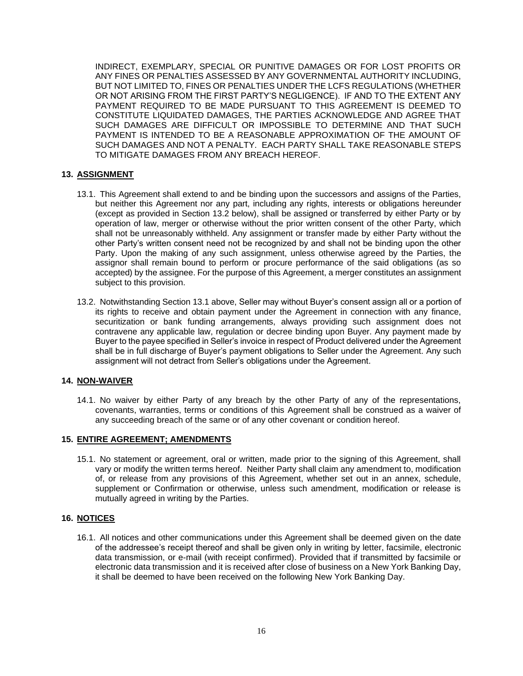INDIRECT, EXEMPLARY, SPECIAL OR PUNITIVE DAMAGES OR FOR LOST PROFITS OR ANY FINES OR PENALTIES ASSESSED BY ANY GOVERNMENTAL AUTHORITY INCLUDING, BUT NOT LIMITED TO, FINES OR PENALTIES UNDER THE LCFS REGULATIONS (WHETHER OR NOT ARISING FROM THE FIRST PARTY'S NEGLIGENCE). IF AND TO THE EXTENT ANY PAYMENT REQUIRED TO BE MADE PURSUANT TO THIS AGREEMENT IS DEEMED TO CONSTITUTE LIQUIDATED DAMAGES, THE PARTIES ACKNOWLEDGE AND AGREE THAT SUCH DAMAGES ARE DIFFICULT OR IMPOSSIBLE TO DETERMINE AND THAT SUCH PAYMENT IS INTENDED TO BE A REASONABLE APPROXIMATION OF THE AMOUNT OF SUCH DAMAGES AND NOT A PENALTY. EACH PARTY SHALL TAKE REASONABLE STEPS TO MITIGATE DAMAGES FROM ANY BREACH HEREOF.

# **13. ASSIGNMENT**

- 13.1. This Agreement shall extend to and be binding upon the successors and assigns of the Parties, but neither this Agreement nor any part, including any rights, interests or obligations hereunder (except as provided in Section 13.2 below), shall be assigned or transferred by either Party or by operation of law, merger or otherwise without the prior written consent of the other Party, which shall not be unreasonably withheld. Any assignment or transfer made by either Party without the other Party's written consent need not be recognized by and shall not be binding upon the other Party. Upon the making of any such assignment, unless otherwise agreed by the Parties, the assignor shall remain bound to perform or procure performance of the said obligations (as so accepted) by the assignee. For the purpose of this Agreement, a merger constitutes an assignment subject to this provision.
- 13.2. Notwithstanding Section 13.1 above, Seller may without Buyer's consent assign all or a portion of its rights to receive and obtain payment under the Agreement in connection with any finance, securitization or bank funding arrangements, always providing such assignment does not contravene any applicable law, regulation or decree binding upon Buyer. Any payment made by Buyer to the payee specified in Seller's invoice in respect of Product delivered under the Agreement shall be in full discharge of Buyer's payment obligations to Seller under the Agreement. Any such assignment will not detract from Seller's obligations under the Agreement.

#### **14. NON-WAIVER**

14.1. No waiver by either Party of any breach by the other Party of any of the representations, covenants, warranties, terms or conditions of this Agreement shall be construed as a waiver of any succeeding breach of the same or of any other covenant or condition hereof.

#### **15. ENTIRE AGREEMENT; AMENDMENTS**

15.1. No statement or agreement, oral or written, made prior to the signing of this Agreement, shall vary or modify the written terms hereof. Neither Party shall claim any amendment to, modification of, or release from any provisions of this Agreement, whether set out in an annex, schedule, supplement or Confirmation or otherwise, unless such amendment, modification or release is mutually agreed in writing by the Parties.

#### **16. NOTICES**

16.1. All notices and other communications under this Agreement shall be deemed given on the date of the addressee's receipt thereof and shall be given only in writing by letter, facsimile, electronic data transmission, or e-mail (with receipt confirmed). Provided that if transmitted by facsimile or electronic data transmission and it is received after close of business on a New York Banking Day, it shall be deemed to have been received on the following New York Banking Day.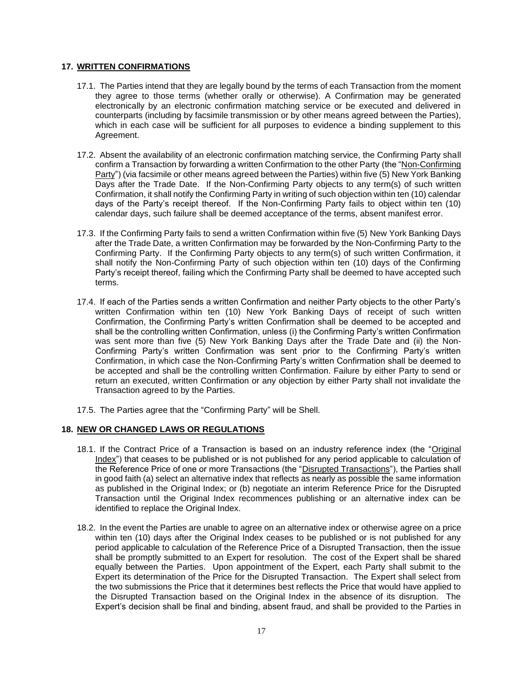# **17. WRITTEN CONFIRMATIONS**

- 17.1. The Parties intend that they are legally bound by the terms of each Transaction from the moment they agree to those terms (whether orally or otherwise). A Confirmation may be generated electronically by an electronic confirmation matching service or be executed and delivered in counterparts (including by facsimile transmission or by other means agreed between the Parties), which in each case will be sufficient for all purposes to evidence a binding supplement to this Agreement.
- 17.2. Absent the availability of an electronic confirmation matching service, the Confirming Party shall confirm a Transaction by forwarding a written Confirmation to the other Party (the "Non-Confirming Party") (via facsimile or other means agreed between the Parties) within five (5) New York Banking Days after the Trade Date. If the Non-Confirming Party objects to any term(s) of such written Confirmation, it shall notify the Confirming Party in writing of such objection within ten (10) calendar days of the Party's receipt thereof. If the Non-Confirming Party fails to object within ten (10) calendar days, such failure shall be deemed acceptance of the terms, absent manifest error.
- 17.3. If the Confirming Party fails to send a written Confirmation within five (5) New York Banking Days after the Trade Date, a written Confirmation may be forwarded by the Non-Confirming Party to the Confirming Party. If the Confirming Party objects to any term(s) of such written Confirmation, it shall notify the Non-Confirming Party of such objection within ten (10) days of the Confirming Party's receipt thereof, failing which the Confirming Party shall be deemed to have accepted such terms.
- 17.4. If each of the Parties sends a written Confirmation and neither Party objects to the other Party's written Confirmation within ten (10) New York Banking Days of receipt of such written Confirmation, the Confirming Party's written Confirmation shall be deemed to be accepted and shall be the controlling written Confirmation, unless (i) the Confirming Party's written Confirmation was sent more than five (5) New York Banking Days after the Trade Date and (ii) the Non-Confirming Party's written Confirmation was sent prior to the Confirming Party's written Confirmation, in which case the Non-Confirming Party's written Confirmation shall be deemed to be accepted and shall be the controlling written Confirmation. Failure by either Party to send or return an executed, written Confirmation or any objection by either Party shall not invalidate the Transaction agreed to by the Parties.
- 17.5. The Parties agree that the "Confirming Party" will be Shell.

# **18. NEW OR CHANGED LAWS OR REGULATIONS**

- 18.1. If the Contract Price of a Transaction is based on an industry reference index (the "Original Index") that ceases to be published or is not published for any period applicable to calculation of the Reference Price of one or more Transactions (the "Disrupted Transactions"), the Parties shall in good faith (a) select an alternative index that reflects as nearly as possible the same information as published in the Original Index; or (b) negotiate an interim Reference Price for the Disrupted Transaction until the Original Index recommences publishing or an alternative index can be identified to replace the Original Index.
- 18.2. In the event the Parties are unable to agree on an alternative index or otherwise agree on a price within ten (10) days after the Original Index ceases to be published or is not published for any period applicable to calculation of the Reference Price of a Disrupted Transaction, then the issue shall be promptly submitted to an Expert for resolution. The cost of the Expert shall be shared equally between the Parties. Upon appointment of the Expert, each Party shall submit to the Expert its determination of the Price for the Disrupted Transaction. The Expert shall select from the two submissions the Price that it determines best reflects the Price that would have applied to the Disrupted Transaction based on the Original Index in the absence of its disruption. The Expert's decision shall be final and binding, absent fraud, and shall be provided to the Parties in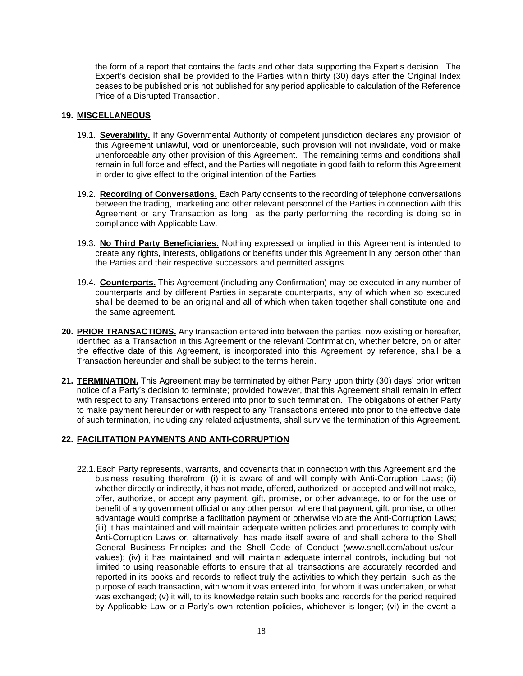the form of a report that contains the facts and other data supporting the Expert's decision. The Expert's decision shall be provided to the Parties within thirty (30) days after the Original Index ceases to be published or is not published for any period applicable to calculation of the Reference Price of a Disrupted Transaction.

# **19. MISCELLANEOUS**

- 19.1. **Severability.** If any Governmental Authority of competent jurisdiction declares any provision of this Agreement unlawful, void or unenforceable, such provision will not invalidate, void or make unenforceable any other provision of this Agreement. The remaining terms and conditions shall remain in full force and effect, and the Parties will negotiate in good faith to reform this Agreement in order to give effect to the original intention of the Parties.
- 19.2. **Recording of Conversations.** Each Party consents to the recording of telephone conversations between the trading, marketing and other relevant personnel of the Parties in connection with this Agreement or any Transaction as long as the party performing the recording is doing so in compliance with Applicable Law.
- 19.3. **No Third Party Beneficiaries.** Nothing expressed or implied in this Agreement is intended to create any rights, interests, obligations or benefits under this Agreement in any person other than the Parties and their respective successors and permitted assigns.
- 19.4. **Counterparts.** This Agreement (including any Confirmation) may be executed in any number of counterparts and by different Parties in separate counterparts, any of which when so executed shall be deemed to be an original and all of which when taken together shall constitute one and the same agreement.
- **20. PRIOR TRANSACTIONS.** Any transaction entered into between the parties, now existing or hereafter, identified as a Transaction in this Agreement or the relevant Confirmation, whether before, on or after the effective date of this Agreement, is incorporated into this Agreement by reference, shall be a Transaction hereunder and shall be subject to the terms herein.
- **21. TERMINATION.** This Agreement may be terminated by either Party upon thirty (30) days' prior written notice of a Party's decision to terminate; provided however, that this Agreement shall remain in effect with respect to any Transactions entered into prior to such termination. The obligations of either Party to make payment hereunder or with respect to any Transactions entered into prior to the effective date of such termination, including any related adjustments, shall survive the termination of this Agreement.

# **22. FACILITATION PAYMENTS AND ANTI-CORRUPTION**

22.1.Each Party represents, warrants, and covenants that in connection with this Agreement and the business resulting therefrom: (i) it is aware of and will comply with Anti-Corruption Laws; (ii) whether directly or indirectly, it has not made, offered, authorized, or accepted and will not make, offer, authorize, or accept any payment, gift, promise, or other advantage, to or for the use or benefit of any government official or any other person where that payment, gift, promise, or other advantage would comprise a facilitation payment or otherwise violate the Anti-Corruption Laws; (iii) it has maintained and will maintain adequate written policies and procedures to comply with Anti-Corruption Laws or, alternatively, has made itself aware of and shall adhere to the Shell General Business Principles and the Shell Code of Conduct (www.shell.com/about-us/ourvalues); (iv) it has maintained and will maintain adequate internal controls, including but not limited to using reasonable efforts to ensure that all transactions are accurately recorded and reported in its books and records to reflect truly the activities to which they pertain, such as the purpose of each transaction, with whom it was entered into, for whom it was undertaken, or what was exchanged; (v) it will, to its knowledge retain such books and records for the period required by Applicable Law or a Party's own retention policies, whichever is longer; (vi) in the event a